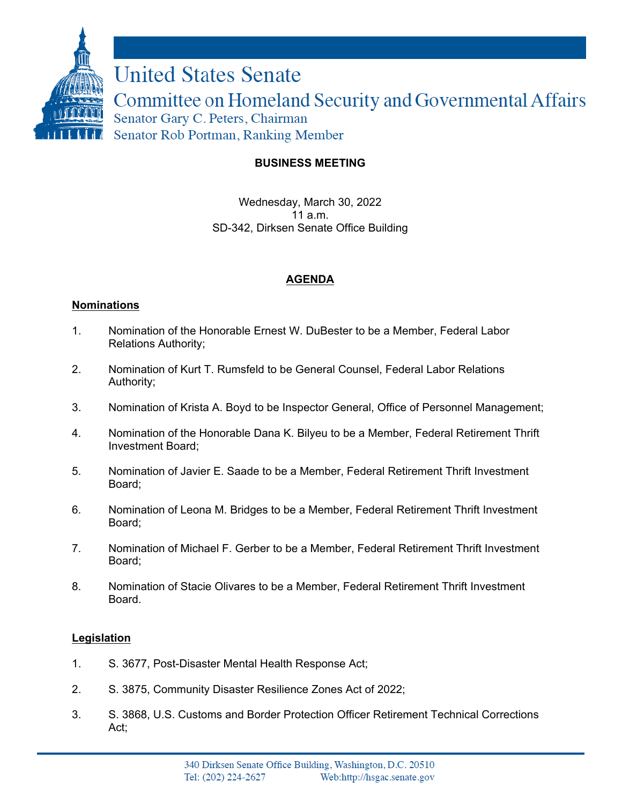

## **BUSINESS MEETING**

Wednesday, March 30, 2022  $11a \text{ m}$ SD-342, Dirksen Senate Office Building

# **AGENDA**

### **Nominations**

- 1. Nomination of the Honorable Ernest W. DuBester to be a Member, Federal Labor Relations Authority;
- 2. Nomination of Kurt T. Rumsfeld to be General Counsel, Federal Labor Relations Authority;
- 3. Nomination of Krista A. Boyd to be Inspector General, Office of Personnel Management;
- 4. Nomination of the Honorable Dana K. Bilyeu to be a Member, Federal Retirement Thrift Investment Board;
- 5. Nomination of Javier E. Saade to be a Member, Federal Retirement Thrift Investment Board;
- 6. Nomination of Leona M. Bridges to be a Member, Federal Retirement Thrift Investment Board;
- 7. Nomination of Michael F. Gerber to be a Member, Federal Retirement Thrift Investment Board;
- 8. Nomination of Stacie Olivares to be a Member, Federal Retirement Thrift Investment Board.

### **Legislation**

- 1. S. 3677, Post-Disaster Mental Health Response Act;
- 2. S. 3875, Community Disaster Resilience Zones Act of 2022;
- 3. S. 3868, U.S. Customs and Border Protection Officer Retirement Technical Corrections Act;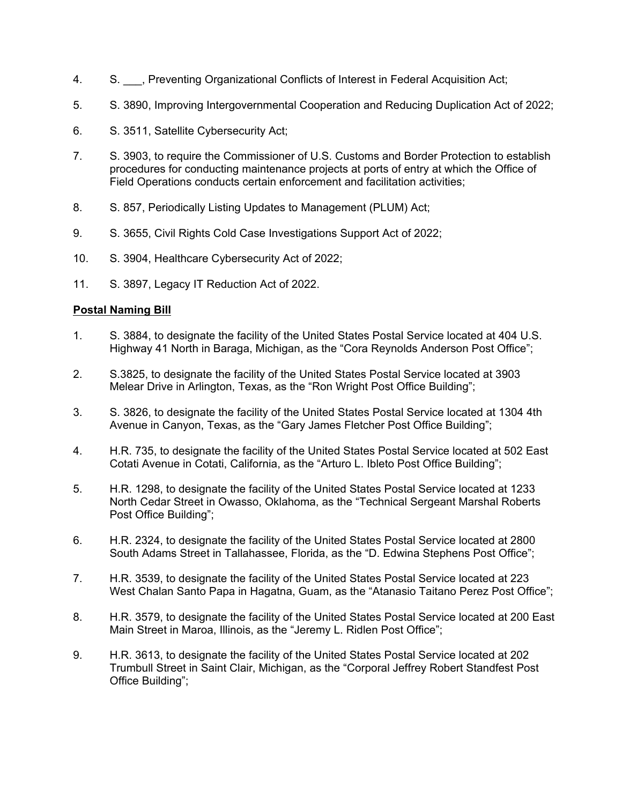- 4. S. \_\_\_, Preventing Organizational Conflicts of Interest in Federal Acquisition Act;
- 5. S. 3890, Improving Intergovernmental Cooperation and Reducing Duplication Act of 2022;
- 6. S. 3511, Satellite Cybersecurity Act;
- 7. S. 3903, to require the Commissioner of U.S. Customs and Border Protection to establish procedures for conducting maintenance projects at ports of entry at which the Office of Field Operations conducts certain enforcement and facilitation activities;
- 8. S. 857, Periodically Listing Updates to Management (PLUM) Act;
- 9. S. 3655, Civil Rights Cold Case Investigations Support Act of 2022;
- 10. S. 3904, Healthcare Cybersecurity Act of 2022;
- 11. S. 3897, Legacy IT Reduction Act of 2022.

### **Postal Naming Bill**

- 1. S. 3884, to designate the facility of the United States Postal Service located at 404 U.S. Highway 41 North in Baraga, Michigan, as the "Cora Reynolds Anderson Post Office";
- 2. S.3825, to designate the facility of the United States Postal Service located at 3903 Melear Drive in Arlington, Texas, as the "Ron Wright Post Office Building";
- 3. S. 3826, to designate the facility of the United States Postal Service located at 1304 4th Avenue in Canyon, Texas, as the "Gary James Fletcher Post Office Building";
- 4. H.R. 735, to designate the facility of the United States Postal Service located at 502 East Cotati Avenue in Cotati, California, as the "Arturo L. Ibleto Post Office Building";
- 5. H.R. 1298, to designate the facility of the United States Postal Service located at 1233 North Cedar Street in Owasso, Oklahoma, as the "Technical Sergeant Marshal Roberts Post Office Building";
- 6. H.R. 2324, to designate the facility of the United States Postal Service located at 2800 South Adams Street in Tallahassee, Florida, as the "D. Edwina Stephens Post Office";
- 7. H.R. 3539, to designate the facility of the United States Postal Service located at 223 West Chalan Santo Papa in Hagatna, Guam, as the "Atanasio Taitano Perez Post Office";
- 8. H.R. 3579, to designate the facility of the United States Postal Service located at 200 East Main Street in Maroa, Illinois, as the "Jeremy L. Ridlen Post Office";
- 9. H.R. 3613, to designate the facility of the United States Postal Service located at 202 Trumbull Street in Saint Clair, Michigan, as the "Corporal Jeffrey Robert Standfest Post Office Building";